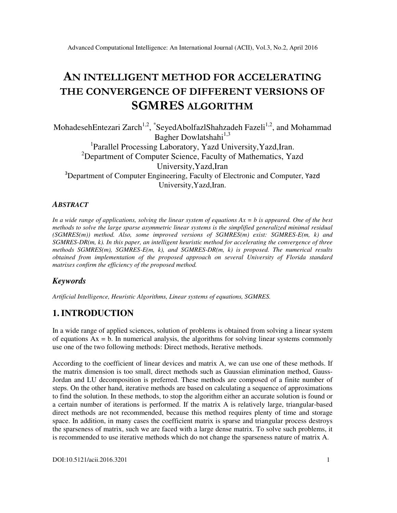# AN INTELLIGENT METHOD FOR ACCELERATING THE CONVERGENCE OF DIFFERENT VERSIONS OF SGMRES ALGORITHM

MohadesehEntezari Zarch<sup>1,2</sup>, \*SeyedAbolfazlShahzadeh Fazeli<sup>1,2</sup>, and Mohammad Bagher Dowlatshahi<sup>1,3</sup> <sup>1</sup>Parallel Processing Laboratory, Yazd University, Yazd, Iran. <sup>2</sup>Department of Computer Science, Faculty of Mathematics, Yazd University,Yazd,Iran <sup>3</sup>Department of Computer Engineering, Faculty of Electronic and Computer, Yazd University,Yazd,Iran.

# *ABSTRACT*

*In a wide range of applications, solving the linear system of equations*  $Ax = b$  *is appeared. One of the best methods to solve the large sparse asymmetric linear systems is the simplified generalized minimal residual (SGMRES(m)) method. Also, some improved versions of SGMRES(m) exist: SGMRES-E(m, k) and SGMRES-DR(m, k). In this paper, an intelligent heuristic method for accelerating the convergence of three methods SGMRES(m), SGMRES-E(m, k), and SGMRES-DR(m, k) is proposed. The numerical results obtained from implementation of the proposed approach on several University of Florida standard matrixes confirm the efficiency of the proposed method.* 

# *Keywords*

*Artificial Intelligence, Heuristic Algorithms, Linear systems of equations, SGMRES.* 

# **1. INTRODUCTION**

In a wide range of applied sciences, solution of problems is obtained from solving a linear system of equations  $Ax = b$ . In numerical analysis, the algorithms for solving linear systems commonly use one of the two following methods: Direct methods, Iterative methods.

According to the coefficient of linear devices and matrix A, we can use one of these methods. If the matrix dimension is too small, direct methods such as Gaussian elimination method, Gauss-Jordan and LU decomposition is preferred. These methods are composed of a finite number of steps. On the other hand, iterative methods are based on calculating a sequence of approximations to find the solution. In these methods, to stop the algorithm either an accurate solution is found or a certain number of iterations is performed. If the matrix A is relatively large, triangular-based direct methods are not recommended, because this method requires plenty of time and storage space. In addition, in many cases the coefficient matrix is sparse and triangular process destroys the sparseness of matrix, such we are faced with a large dense matrix. To solve such problems, it is recommended to use iterative methods which do not change the sparseness nature of matrix A.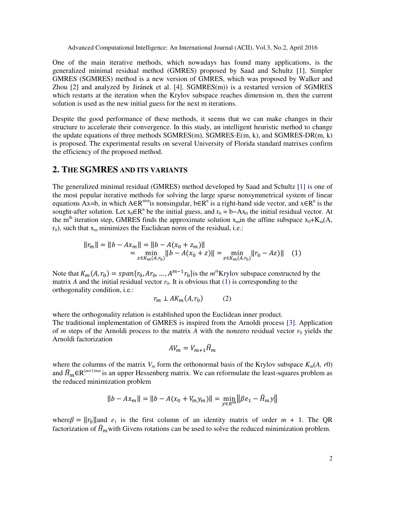One of the main iterative methods, which nowadays has found many applications, is the generalized minimal residual method (GMRES) proposed by Saad and Schultz [1]. Simpler GMRES (SGMRES) method is a new version of GMRES, which was proposed by Walker and Zhou [2] and analyzed by Jiránek et al. [4]. SGMRES(m)) is a restarted version of SGMRES which restarts at the iteration when the Krylov subspace reaches dimension m, then the current solution is used as the new initial guess for the next m iterations.

Despite the good performance of these methods, it seems that we can make changes in their structure to accelerate their convergence. In this study, an intelligent heuristic method to change the update equations of three methods  $SGMRES(m)$ ,  $SGMRES-E(m, k)$ , and  $SGMRES-DR(m, k)$ is proposed. The experimental results on several University of Florida standard matrixes confirm the efficiency of the proposed method.

### **2. THE SGMRES AND ITS VARIANTS**

The generalized minimal residual (GMRES) method developed by Saad and Schultz [1] is one of the most popular iterative methods for solving the large sparse nonsymmetrical system of linear equations Ax=b, in which A $\in$ R<sup>n×n</sup>is nonsingular, b $\in$ R<sup>n</sup> is a right-hand side vector, and x $\in$ R<sup>n</sup> is the sought-after solution. Let  $x_0 \in \mathbb{R}^n$  be the initial guess, and  $r_0 = b - Ax_0$  the initial residual vector. At the m<sup>th</sup> iteration step, GMRES finds the approximate solution  $x_{\text{min}}$  the affine subspace  $x_0 + K_{\text{min}}(A,$  $r_0$ ), such that  $x_m$  minimizes the Euclidean norm of the residual, i.e.:

$$
||r_m|| = ||b - Ax_m|| = ||b - A(x_0 + z_m)||
$$
  
= 
$$
\min_{z \in K_m(A, r_0)} ||b - A(x_0 + z)|| = \min_{z \in K_m(A, r_0)} ||r_0 - Az||
$$
 (1)

Note that  $K_m(A, r_0) = span\{r_0, Ar_0, ..., A^{m-1}r_0\}$  is the  $m^{\text{th}}$ Krylov subspace constructed by the matrix *A* and the initial residual vector  $r_0$ . It is obvious that (1) is corresponding to the orthogonality condition, i.e.:

$$
r_m \perp AK_m(A,r_0) \tag{2}
$$

where the orthogonality relation is established upon the Euclidean inner product. The traditional implementation of GMRES is inspired from the Arnoldi process [3]. Application of *m* steps of the Arnoldi process to the matrix *A* with the nonzero residual vector  $r_0$  yields the Arnoldi factorization

$$
AV_m = V_{m+1}\widehat{H}_m
$$

where the columns of the matrix  $V_m$  form the orthonormal basis of the Krylov subspace  $K_m(A, r0)$ and  $\widehat{H}_m \in \mathbb{R}^{(m+1)\times m}$  is an upper Hessenberg matrix. We can reformulate the least-squares problem as the reduced minimization problem

$$
||b - Ax_m|| = ||b - A(x_0 + V_m y_m)|| = \min_{y \in R^m} ||\beta e_1 - \widehat{H}_m y||
$$

where  $\beta = ||r_0||$  and  $e_1$  is the first column of an identity matrix of order  $m + 1$ . The QR factorization of  $\hat{H}_m$  with Givens rotations can be used to solve the reduced minimization problem.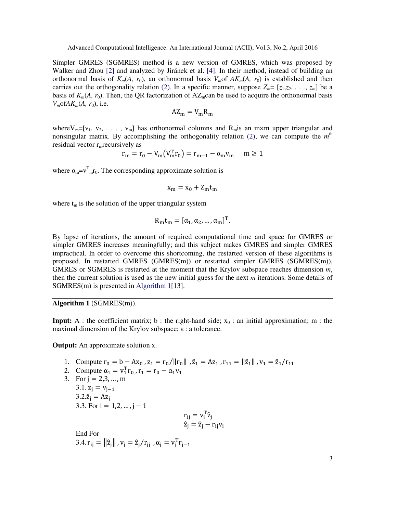Simpler GMRES (SGMRES) method is a new version of GMRES, which was proposed by Walker and Zhou [2] and analyzed by Jiránek et al. [4]. In their method, instead of building an orthonormal basis of  $K_m(A, r_0)$ , an orthonormal basis  $V_m$  of  $AK_m(A, r_0)$  is established and then carries out the orthogonality relation (2). In a specific manner, suppose  $Z_m = [z_1, z_2, \ldots, z_m]$  be a basis of  $K_m(A, r_0)$ . Then, the QR factorization of  $AZ_m$ can be used to acquire the orthonormal basis  $V_m$ of $AK_m(A, r_0)$ , i.e.

$$
AZ_m = V_m R_m
$$

where  $V_m=[v_1, v_2, \ldots, v_m]$  has orthonormal columns and  $R_m$  is an m $\times$ m upper triangular and nonsingular matrix. By accomplishing the orthogonality relation (2), we can compute the  $m<sup>th</sup>$ residual vector  $r_m$  recursively as

$$
r_{m} = r_{0} - V_{m}(V_{m}^{T}r_{0}) = r_{m-1} - \alpha_{m}v_{m} \quad m \ge 1
$$

where  $\alpha_m = v_{m}^T r_0$ . The corresponding approximate solution is

$$
x_m = x_0 + Z_m t_m
$$

where  $t_m$  is the solution of the upper triangular system

$$
\mathbf{R}_{\mathbf{m}}\mathbf{t}_{\mathbf{m}} = [\alpha_1, \alpha_2, \dots, \alpha_{\mathbf{m}}]^{\mathrm{T}}.
$$

By lapse of iterations, the amount of required computational time and space for GMRES or simpler GMRES increases meaningfully; and this subject makes GMRES and simpler GMRES impractical. In order to overcome this shortcoming, the restarted version of these algorithms is proposed. In restarted GMRES (GMRES(m)) or restarted simpler GMRES (SGMRES(m)), GMRES or SGMRES is restarted at the moment that the Krylov subspace reaches dimension *m*, then the current solution is used as the new initial guess for the next *m* iterations. Some details of SGMRES(m) is presented in Algorithm 1[13].

#### **Algorithm 1** (SGMRES(m)).

**Input:** A : the coefficient matrix; b : the right-hand side;  $x_0$  : an initial approximation; m : the maximal dimension of the Krylov subspace; ε : a tolerance.

**Output:** An approximate solution x.

1. Compute  $r_0 = b - Ax_0$ ,  $z_1 = r_0/||r_0||$ ,  $\hat{z}_1 = Az_1$ ,  $r_{11} = ||\hat{z}_1||$ ,  $v_1 = \hat{z}_1/r_{11}$ 

2. Compute 
$$
\alpha_1 = v_1^T r_0
$$
,  $r_1 = r_0 - \alpha_1 v_1$   
\n3. For  $j = 2, 3, ..., m$   
\n3.1.  $z_j = v_{j-1}$   
\n3.2.  $\hat{z}_j = Az_j$   
\n3.3. For  $i = 1, 2, ..., j - 1$   
\n
$$
r_{ij} = v_i^T \hat{z}_j
$$
\n
$$
\hat{z}_j = \hat{z}_j - r_{ij} v_i
$$
\nEnd For  
\n3.4.  $r_{ij} = ||\hat{z}_j||$ ,  $v_j = \hat{z}_j / r_{jj}$ ,  $\alpha_j = v_j^T r_{j-1}$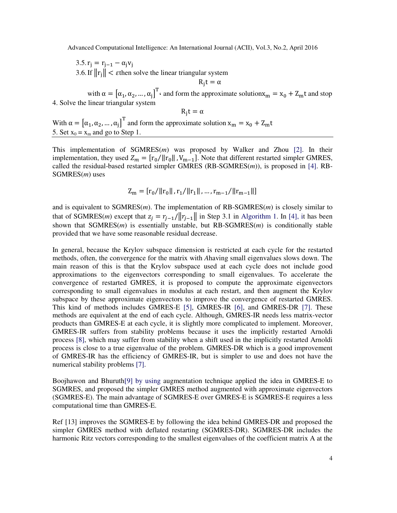3.5.  $r_i = r_{i-1} - \alpha_i v_i$ 3.6. If  $||r_i|| < \varepsilon$  then solve the linear triangular system

 $R_j t = \alpha$ 

with  $\alpha = [\alpha_1, \alpha_2, ..., \alpha_j]^T$  and form the approximate solution $x_m = x_0 + Z_m t$  and stop 4. Solve the linear triangular system

 $R_j t = \alpha$ With  $\alpha = [\alpha_1, \alpha_2, ..., \alpha_j]^T$  and form the approximate solution  $x_m = x_0 + Z_m t$ 5. Set  $x_0 = x_m$  and go to Step 1.

This implementation of SGMRES(*m*) was proposed by Walker and Zhou [2]. In their implementation, they used  $Z_m = [r_0/||r_0||]$ ,  $V_{m-1}$ . Note that different restarted simpler GMRES, called the residual-based restarted simpler GMRES (RB-SGMRES(*m*)), is proposed in [4]. RB-SGMRES(*m*) uses

$$
\mathbf{Z_m} = [\mathbf{r}_0/\|\mathbf{r}_0\|, \mathbf{r}_1/\|\mathbf{r}_1\|, \ldots, \mathbf{r}_{m-1}/\|\mathbf{r}_{m-1}\|]
$$

and is equivalent to SGMRES(*m*). The implementation of RB-SGMRES(*m*) is closely similar to that of SGMRES(*m*) except that  $z_i = r_{i-1}/||r_{i-1}||$  in Step 3.1 in Algorithm 1. In [4], it has been shown that  $SGMRES(m)$  is essentially unstable, but  $RB-SGMRES(m)$  is conditionally stable provided that we have some reasonable residual decrease.

In general, because the Krylov subspace dimension is restricted at each cycle for the restarted methods, often, the convergence for the matrix with *A*having small eigenvalues slows down. The main reason of this is that the Krylov subspace used at each cycle does not include good approximations to the eigenvectors corresponding to small eigenvalues. To accelerate the convergence of restarted GMRES, it is proposed to compute the approximate eigenvectors corresponding to small eigenvalues in modulus at each restart, and then augment the Krylov subspace by these approximate eigenvectors to improve the convergence of restarted GMRES. This kind of methods includes GMRES-E [5], GMRES-IR [6], and GMRES-DR [7]. These methods are equivalent at the end of each cycle. Although, GMRES-IR needs less matrix-vector products than GMRES-E at each cycle, it is slightly more complicated to implement. Moreover, GMRES-IR suffers from stability problems because it uses the implicitly restarted Arnoldi process [8], which may suffer from stability when a shift used in the implicitly restarted Arnoldi process is close to a true eigenvalue of the problem. GMRES-DR which is a good improvement of GMRES-IR has the efficiency of GMRES-IR, but is simpler to use and does not have the numerical stability problems [7].

Boojhawon and Bhuruth[9] by using augmentation technique applied the idea in GMRES-E to SGMRES, and proposed the simpler GMRES method augmented with approximate eigenvectors (SGMRES-E). The main advantage of SGMRES-E over GMRES-E is SGMRES-E requires a less computational time than GMRES-E.

Ref [13] improves the SGMRES-E by following the idea behind GMRES-DR and proposed the simpler GMRES method with deflated restarting (SGMRES-DR). SGMRES-DR includes the harmonic Ritz vectors corresponding to the smallest eigenvalues of the coefficient matrix A at the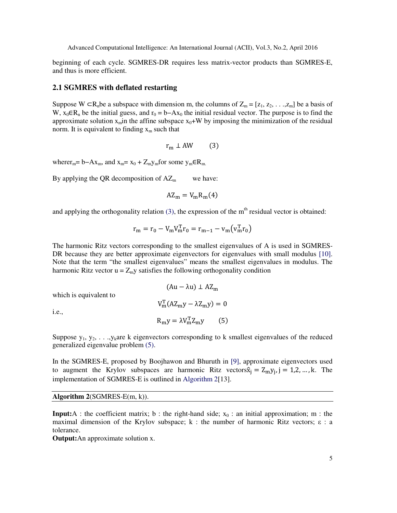beginning of each cycle. SGMRES-DR requires less matrix-vector products than SGMRES-E, and thus is more efficient.

#### **2.1 SGMRES with deflated restarting**

Suppose W  $\subset R_n$ be a subspace with dimension m, the columns of  $Z_m = [z_1, z_2, \ldots, z_m]$  be a basis of W,  $x_0 \in R_n$  be the initial guess, and  $r_0 = b - Ax_0$  the initial residual vector. The purpose is to find the approximate solution  $x<sub>m</sub>$  in the affine subspace  $x<sub>0</sub>+W$  by imposing the minimization of the residual norm. It is equivalent to finding  $x_m$  such that

$$
r_m \perp AW \qquad (3)
$$

wherer<sub>m</sub>= b–Ax<sub>m</sub>, and x<sub>m</sub>= x<sub>0</sub> + Z<sub>m</sub>y<sub>m</sub>for some y<sub>m</sub>∈R<sub>m.</sub>

By applying the QR decomposition of  $AZ_m$  we have:

$$
AZ_{m} = V_{m}R_{m}(4)
$$

and applying the orthogonality relation  $(3)$ , the expression of the m<sup>th</sup> residual vector is obtained:

$$
r_m = r_0 - V_m V_m^T r_0 = r_{m-1} - v_m (v_m^T r_0)
$$

The harmonic Ritz vectors corresponding to the smallest eigenvalues of A is used in SGMRES-DR because they are better approximate eigenvectors for eigenvalues with small modulus [10]. Note that the term "the smallest eigenvalues" means the smallest eigenvalues in modulus. The harmonic Ritz vector  $u = Z_m y$  satisfies the following orthogonality condition

| which is equivalent to<br>i.e., | $(Au - \lambda u) \perp AZ_m$                             |     |  |
|---------------------------------|-----------------------------------------------------------|-----|--|
|                                 | $V_{\rm m}^{\rm T}(AZ_{\rm m}y - \lambda Z_{\rm m}y) = 0$ |     |  |
|                                 | $R_m y = \lambda V_m^T Z_m y$                             | (5) |  |

Suppose  $y_1, y_2, \ldots, y_k$ are k eigenvectors corresponding to k smallest eigenvalues of the reduced generalized eigenvalue problem (5).

In the SGMRES-E, proposed by Boojhawon and Bhuruth in [9], approximate eigenvectors used to augment the Krylov subspaces are harmonic Ritz vectors $\hat{x}_j = Z_m y_j$ ,  $j = 1, 2, ..., k$ . The implementation of SGMRES-E is outlined in Algorithm 2[13].

**Algorithm 2**(SGMRES-E(m, k)).

**Input:**A : the coefficient matrix;  $b$  : the right-hand side;  $x_0$  : an initial approximation; m : the maximal dimension of the Krylov subspace; k : the number of harmonic Ritz vectors;  $\varepsilon$  : a tolerance.

**Output:**An approximate solution x.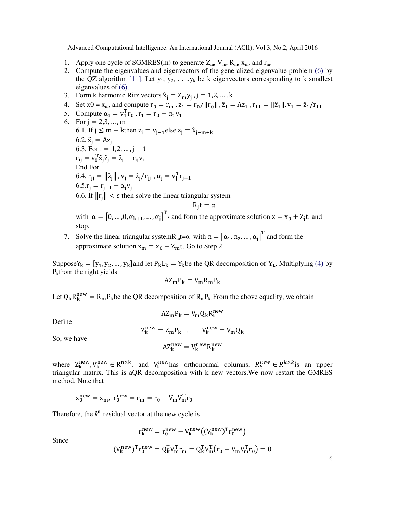- 1. Apply one cycle of SGMRES(m) to generate  $Z_m$ ,  $V_m$ ,  $R_m$ ,  $x_m$ , and  $r_m$ .
- 2. Compute the eigenvalues and eigenvectors of the generalized eigenvalue problem (6) by the QZ algorithm [11]. Let  $y_1, y_2, \ldots, y_k$  be k eigenvectors corresponding to k smallest eigenvalues of (6).
- 3. Form k harmonic Ritz vectors  $\hat{x}_j = Z_m y_j$ ,  $j = 1,2,...,k$

4. Set 
$$
x0 = x_m
$$
, and compute  $r_0 = r_m$ ,  $z_1 = r_0 / ||r_0||$ ,  $\hat{z}_1 = Az_1$ ,  $r_{11} = ||\hat{z}_1||$ ,  $v_1 = \hat{z}_1 / r_{11}$ 

5. Compute  $\alpha_1 = v_1^T r_0$ ,  $r_1 = r_0 - \alpha_1 v_1$ 

6. For 
$$
j = 2,3, ..., m
$$
  
\n6.1. If  $j \le m -$  kthen  $z_j = v_{j-1} \text{else } z_j = \hat{x}_{j-m+k}$   
\n6.2.  $\hat{z}_j = Az_j$   
\n6.3. For  $i = 1,2, ..., j - 1$   
\n $r_{ij} = v_i^T \hat{z}_j \hat{z}_j = \hat{z}_j - r_{ij} v_i$   
\nEnd For  
\n6.4.  $r_{jj} = ||\hat{z}_j||$ ,  $v_j = \hat{z}_j / r_{jj}$ ,  $\alpha_j = v_j^T r_{j-1}$   
\n6.5.  $r_j = r_{j-1} - \alpha_j v_j$   
\n6.6. If  $||r_j|| < \varepsilon$  then solve the linear triangular system  
\n $R_j t = \alpha$   
\nwith  $\alpha = [0, ..., 0, \alpha_{k+1}, ..., \alpha_j]^T$ , and form the approximate solution  $x = x_0 + Z_j t$ ,  
\nstop.

7. Solve the linear triangular system $R_m t = \alpha$  with  $\alpha = [\alpha_1, \alpha_2, ..., \alpha_j]^T$  and form the approximate solution  $x_m = x_0 + Z_m t$ . Go to Step 2.

SupposeY<sub>k</sub> = [y<sub>1</sub>, y<sub>2</sub>, ..., y<sub>k</sub>] and let P<sub>k</sub>L<sub>k</sub> = Y<sub>k</sub>be the QR decomposition of Y<sub>k</sub>. Multiplying (4) by  $P_k$ from the right yields

$$
AZ_mP_k = V_mR_mP_k
$$

Let  $Q_k R_k^{new} = R_m P_k$  be the QR decomposition of  $R_m P_k$ . From the above equality, we obtain

$$
AZ_mP_k = V_mQ_kR_k^{new}
$$

Define

So, we have

$$
Z_k^{new} = Z_m P_k \ , \qquad V_k^{new} = V_m Q_k
$$

$$
A Z_k^{new} = V_k^{new} R_k^{new}
$$

where  $Z_k^{new}, V_k^{new} \in R^{n \times k}$ , and  $V_k^{new}$  has orthonormal columns,  $R_k^{new} \in R^{k \times k}$  is an upper triangular matrix. This is aQR decomposition with k new vectors.We now restart the GMRES method. Note that

$$
x_0^{\text{new}} = x_{\text{m}}, \ r_0^{\text{new}} = r_{\text{m}} = r_0 - V_{\text{m}} V_{\text{m}}^{\text{T}} r_0
$$

Therefore, the  $k^{\text{th}}$  residual vector at the new cycle is

$$
r_k^{new} = r_0^{new} - V_k^{new} \big( (V_k^{new})^T r_0^{new} \big)
$$

Since

$$
(V_k^{\text{new}})^{\text{T}} r_0^{\text{new}} = Q_k^{\text{T}} V_m^{\text{T}} r_m = Q_k^{\text{T}} V_m^{\text{T}} (r_0 - V_m V_m^{\text{T}} r_0) = 0
$$

6

and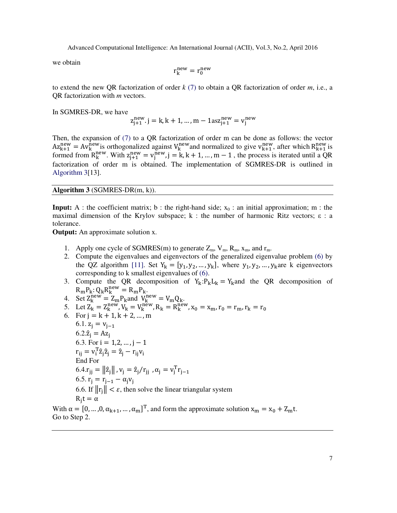we obtain

$$
r_k^{new} = r_0^{new}
$$

to extend the new QR factorization of order *k* (7) to obtain a QR factorization of order *m*, i.e., a QR factorization with *m* vectors.

In SGMRES-DR, we have

$$
z_{j+1}^{new}.j = k, k+1, ..., m - 1 as z_{j+1}^{new} = v_j^{new}
$$

Then, the expansion of (7) to a QR factorization of order m can be done as follows: the vector  $Az_{k+1}^{new} = Av_k^{\text{new}}$  is orthogonalized against  $V_k^{\text{new}}$  and normalized to give  $v_{k+1}^{\text{new}}$ , after which  $R_{k+1}^{\text{new}}$  is formed from  $R_k^{new}$ . With  $z_{j+1}^{new} = v_j^{new}$ ,  $j = k, k + 1, ..., m - 1$ , the process is iterated until a QR factorization of order m is obtained. The implementation of SGMRES-DR is outlined in Algorithm 3[13].

#### **Algorithm 3** (SGMRES-DR(m, k)).

**Input:** A : the coefficient matrix; b : the right-hand side;  $x_0$  : an initial approximation; m : the maximal dimension of the Krylov subspace; k : the number of harmonic Ritz vectors;  $\varepsilon$  : a tolerance.

**Output:** An approximate solution x.

- 1. Apply one cycle of SGMRES(m) to generate  $Z_m$ ,  $V_m$ ,  $R_m$ ,  $x_m$ , and  $r_m$ .
- 2. Compute the eigenvalues and eigenvectors of the generalized eigenvalue problem (6) by the QZ algorithm [11]. Set  $Y_k = [y_1, y_2, ..., y_k]$ , where  $y_1, y_2, ..., y_k$  are k eigenvectors corresponding to k smallest eigenvalues of (6).
- 3. Compute the QR decomposition of  $Y_k: P_k L_k = Y_k$  and the QR decomposition of  $R_m P_k$ :  $Q_k R_k^{new} = R_m P_k$ .
- 4. Set  $Z_k^{\text{new}} = Z_m P_k$  and  $V_k^{\text{new}} = V_m Q_k$ .

5. Let 
$$
Z_k = Z_k^{\text{new}}, V_k = V_k^{\text{new}}, R_k = R_k^{\text{new}}, x_0 = x_m, r_0 = r_m, r_k = r_0
$$

6. For  $j = k + 1, k + 2, ..., m$ 6.1.  $z_j = v_{j-1}$  $6.2.\hat{z}_i = Az_i$ 6.3. For  $i = 1, 2, ..., j - 1$  $r_{ij} = v_i^{\mathrm{T}} \hat{z}_j \hat{z}_j = \hat{z}_j - r_{ij} v_i$ End For 6.4. $r_{jj} = ||\hat{z}_j||$  ,  $v_j = \hat{z}_j/r_{jj}$  ,  $\alpha_j = v_j^T r_{j-1}$ 6.5.  $r_j = r_{j-1} - \alpha_j v_j$ 6.6. If  $\|\mathbf{r}_i\| < \varepsilon$ , then solve the linear triangular system  $R_j t = \alpha$ 

With  $\alpha = [0, ..., 0, \alpha_{k+1}, ..., \alpha_m]^T$ , and form the approximate solution  $x_m = x_0 + Z_m t$ . Go to Step 2.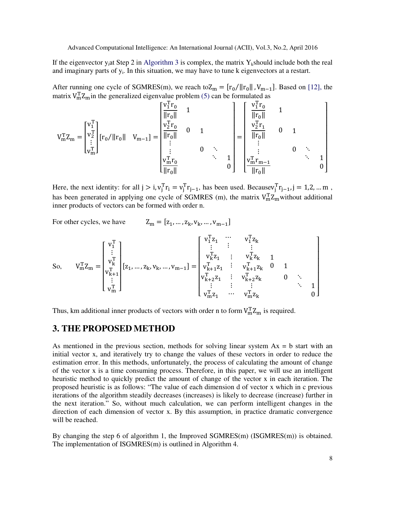If the eigenvector y<sub>i</sub>at Step 2 in Algorithm 3 is complex, the matrix  $Y_k$ should include both the real and imaginary parts of y<sup>i</sup> . In this situation, we may have to tune k eigenvectors at a restart.

After running one cycle of SGMRES(m), we reach to  $Z_m = [r_0/||r_0||, V_{m-1}]$ . Based on [12], the matrix  $V_m^T Z_m$  in the generalized eigenvalue problem (5) can be formulated as

$$
V_m^T Z_m = \begin{bmatrix} v_1^T \\ v_2^T \\ \vdots \\ v_m^T \end{bmatrix} [r_0/\|r_0\| \quad V_{m-1}] = \begin{bmatrix} \frac{v_1^T r_0}{\|r_0\|} & 1 & & & \\ \frac{v_2^T r_0}{\|r_0\|} & 0 & 1 & & \\ \vdots & & 0 & \ddots & \\ \frac{v_m^T r_0}{\|r_0\|} & & & \ddots & 1 \\ \frac{v_m^T r_0}{\|r_0\|} & & & & \ddots & 1 \\ \end{bmatrix} = \begin{bmatrix} \frac{v_1^T r_0}{\|r_0\|} & 1 & & & \\ \frac{v_2^T r_1}{\|r_0\|} & 0 & 1 & & \\ \vdots & & 0 & \ddots & \\ \frac{v_m^T r_{m-1}}{\|r_0\|} & & & & \ddots & 1 \\ \frac{v_m^T r_{m-1}}{\|r_0\|} & & & & & \ddots & 1 \\ \end{bmatrix}
$$

Here, the next identity: for all  $j > i$ ,  $v_j^T r_i = v_j^T r_{j-1}$ , has been used. Becausev $v_j^T r_{j-1}$ ,  $j = 1, 2, ...$  m, has been generated in applying one cycle of SGMRES (m), the matrix  $V_m^T Z_m$  without additional inner products of vectors can be formed with order n.

For other cycles, we have  $Z_m = [z_1, ..., z_k, v_k, ..., v_{m-1}]$ 

So, 
$$
V_m^T Z_m = \begin{bmatrix} v_1^T \\ \vdots \\ v_k^T \\ v_1^T \\ \vdots \\ v_m^T \end{bmatrix} [z_1, ..., z_k, v_k, ..., v_{m-1}] = \begin{bmatrix} v_1^T z_1 & \cdots & v_1^T z_k \\ \vdots & \vdots & \vdots \\ v_k^T z_1 & \vdots & v_k^T z_k & 1 \\ v_{k+1}^T z_1 & \vdots & v_{k+1}^T z_k & 0 & 1 \\ v_{k+2}^T z_1 & \vdots & v_{k+2}^T z_k & 0 & \ddots \\ \vdots & \vdots & \vdots & \vdots & \ddots & 1 \\ v_m^T z_1 & \cdots & v_m^T z_k & & & 0 \end{bmatrix}
$$

Thus, km additional inner products of vectors with order n to form  $V_m^T Z_m$  is required.

# **3. THE PROPOSED METHOD**

As mentioned in the previous section, methods for solving linear system  $Ax = b$  start with an initial vector x, and iteratively try to change the values of these vectors in order to reduce the estimation error. In this methods, unfortunately, the process of calculating the amount of change of the vector x is a time consuming process. Therefore, in this paper, we will use an intelligent heuristic method to quickly predict the amount of change of the vector x in each iteration. The proposed heuristic is as follows: "The value of each dimension d of vector x which in c previous iterations of the algorithm steadily decreases (increases) is likely to decrease (increase) further in the next iteration." So, without much calculation, we can perform intelligent changes in the direction of each dimension of vector x. By this assumption, in practice dramatic convergence will be reached.

By changing the step 6 of algorithm 1, the Improved SGMRES(m) (ISGMRES(m)) is obtained. The implementation of ISGMRES(m) is outlined in Algorithm 4.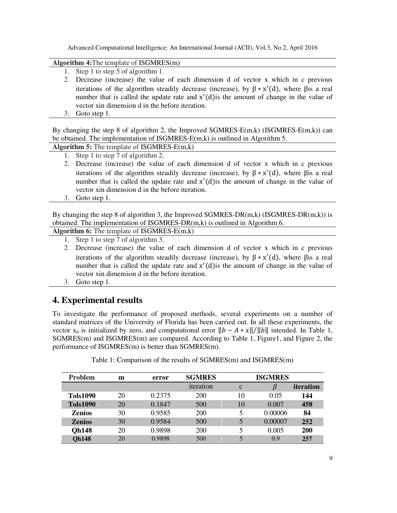| <b>Algorithm 4:</b> The template of ISGMRES(m) |  |
|------------------------------------------------|--|
|------------------------------------------------|--|

- 1. Step 1 to step 5 of algorithm 1.
- 2. Decrease (increase) the value of each dimension d of vector x which in c previous iterations of the algorithm steadily decrease (increase), by  $\beta * x'(d)$ , where  $\beta$ is a real number that is called the update rate and  $x'(d)$  is the amount of change in the value of vector xin dimension d in the before iteration.
- 3. Goto step 1.

By changing the step 8 of algorithm 2, the Improved SGMRES- $E(m,k)$  (ISGMRES- $E(m,k)$ ) can be obtained. The implementation of ISGMRES-E(m,k) is outlined in Algorithm 5.

- **Algorithm 5:** The template of ISGMRES-E(m,k)
	- 1. Step 1 to step 7 of algorithm 2.
	- 2. Decrease (increase) the value of each dimension d of vector x which in c previous iterations of the algorithm steadily decrease (increase), by  $\beta * x'(d)$ , where  $\beta$ is a real number that is called the update rate and  $x'(d)$  is the amount of change in the value of vector xin dimension d in the before iteration.
	- 3. Goto step 1.

By changing the step 8 of algorithm 3, the Improved SGMRES-DR(m,k) (ISGMRES-DR(m,k)) is obtained. The implementation of ISGMRES-DR(m,k) is outlined in Algorithm 6.

**Algorithm 6:** The template of ISGMRES-E(m,k)

- 1. Step 1 to step 7 of algorithm 3.
- 2. Decrease (increase) the value of each dimension d of vector x which in c previous iterations of the algorithm steadily decrease (increase), by  $\beta * x'(d)$ , where  $\beta$ is a real number that is called the update rate and  $x'(d)$  is the amount of change in the value of vector xin dimension d in the before iteration.
- 3. Goto step 1.

# **4. Experimental results**

To investigate the performance of proposed methods, several experiments on a number of standard matrices of the University of Florida has been carried out. In all these experiments, the vector  $x_0$  is initialized by zero, and computational error  $||b - A * x||/||b||$  intended. In Table 1, SGMRES(m) and ISGMRES(m) are compared. According to Table 1, Figure1, and Figure 2, the performance of ISGMRES(m) is better than SGMRES(m).

| <b>Problem</b>  | m  | error  | <b>SGMRES</b> |              | <b>ISGMRES</b> |           |
|-----------------|----|--------|---------------|--------------|----------------|-----------|
|                 |    |        | iteration     | $\mathbf{c}$ | β              | iteration |
| <b>Tols1090</b> | 20 | 0.2375 | <b>200</b>    | 10           | 0.05           | 144       |
| <b>Tols1090</b> | 20 | 0.1847 | 500           | 10           | 0.007          | 458       |
| <b>Zenios</b>   | 30 | 0.9585 | <b>200</b>    | 5            | 0.00006        | 84        |
| <b>Zenios</b>   | 30 | 0.9584 | 500           |              | 0.00007        | 252       |
| <b>Oh148</b>    | 20 | 0.9898 | 200           |              | 0.005          | 200       |
| <b>Qh148</b>    | 20 | 0.9898 | 500           |              | 0.9            | 257       |

Table 1: Comparison of the results of SGMRES(m) and ISGMRES(m)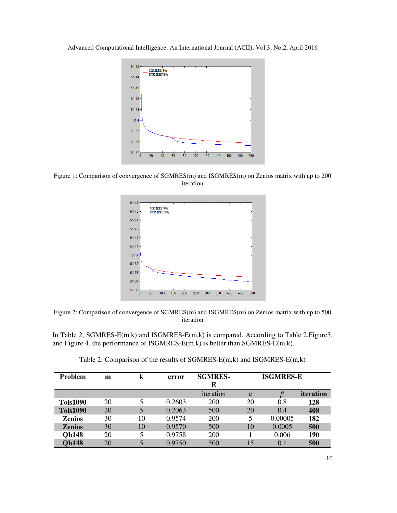Advanced Computational Intelligence: An International Journal (ACII), Vol.3, No.2, April 2016



Figure 1: Comparison of convergence of SGMRES(m) and ISGMRES(m) on Zenios matrix with up to 200 iteration



Figure 2: Comparison of convergence of SGMRES(m) and ISGMRES(m) on Zenios matrix with up to 500 iteration

In Table 2, SGMRES-E(m,k) and ISGMRES-E(m,k) is compared. According to Table 2, Figure3, and Figure 4, the performance of ISGMRES- $E(m,k)$  is better than SGMRES- $E(m,k)$ . 2, SGMRES-E(m,k) and ISGMRES-E(m,k) is compared. According to Table 2<br>e 4, the performance of ISGMRES-E(m,k) is better than SGMRES-E(m,k).<br>Table 2: Comparison of the results of SGMRES-E(m,k) and ISGMRES-E(m,k)

| <b>Problem</b>  | m  | k  | error  | <b>SGMRES-</b> |              | <b>ISGMRES-E</b> |            |
|-----------------|----|----|--------|----------------|--------------|------------------|------------|
|                 |    |    |        | E              |              |                  |            |
|                 |    |    |        | iteration      | $\mathbf{C}$ | ß                | iteration  |
| <b>Tols1090</b> | 20 | 5  | 0.2603 | 200            | 20           | 0.8              | 128        |
| <b>Tols1090</b> | 20 | 5  | 0.2063 | 500            | 20           | 0.4              | 408        |
| <b>Zenios</b>   | 30 | 10 | 0.9574 | 200            | 5            | 0.00005          | 182        |
| <b>Zenios</b>   | 30 | 10 | 0.9570 | 500            | 10           | 0.0005           | 500        |
| <b>Oh148</b>    | 20 | 5  | 0.9758 | 200            |              | 0.006            | <b>190</b> |
| <b>Oh148</b>    | 20 | 5  | 0.9750 | 500            | 15           | 0.1              | 500        |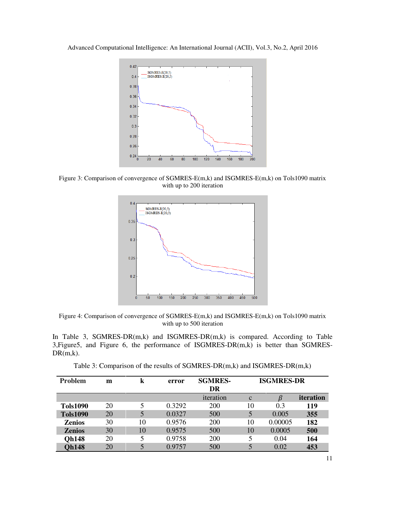Advanced Computational Intelligence: An International Journal (ACII), Vol.3, No.2, April 2016



Figure 3: Comparison of convergence of SGMRES-E(m,k) and ISGMRES-E(m,k) on Tols1090 matrix with up to 200 iteration



Figure 4: Comparison of convergence of SGMRES-E(m,k) and ISGMRES-E(m,k) on Tols1090 matrix with up to 500 iteration

In Table 3, SGMRES-DR(m,k) and ISGMRES-DR(m,k) is compared. According to Table In Table 3, SGMRES-DR(m,k) and ISGMRES-DR(m,k) is compared. According to Table 3, Figure5, and Figure 6, the performance of ISGMRES-DR(m,k) is better than SGMRES- $DR(m,k)$ .

Table 3: Comparison of the results of SGMRES-DR(m,k) and ISGMRES-DR(m,k)

| <b>Problem</b>  | m  | k  | error  | <b>SGMRES-</b> | <b>ISGMRES-DR</b> |         |           |
|-----------------|----|----|--------|----------------|-------------------|---------|-----------|
|                 |    |    |        | DR             |                   |         |           |
|                 |    |    |        | iteration      | $\mathbf{C}$      |         | iteration |
| <b>Tols1090</b> | 20 | 5  | 0.3292 | 200            | 10                | 0.3     | 119       |
| <b>Tols1090</b> | 20 | 5  | 0.0327 | 500            | 5                 | 0.005   | 355       |
| <b>Zenios</b>   | 30 | 10 | 0.9576 | 200            | 10                | 0.00005 | 182       |
| <b>Zenios</b>   | 30 | 10 | 0.9575 | 500            | 10                | 0.0005  | 500       |
| <b>Oh148</b>    | 20 | 5  | 0.9758 | 200            |                   | 0.04    | 164       |
| <b>Oh148</b>    | 20 |    | 0.9757 | 500            |                   | 0.02    | 453       |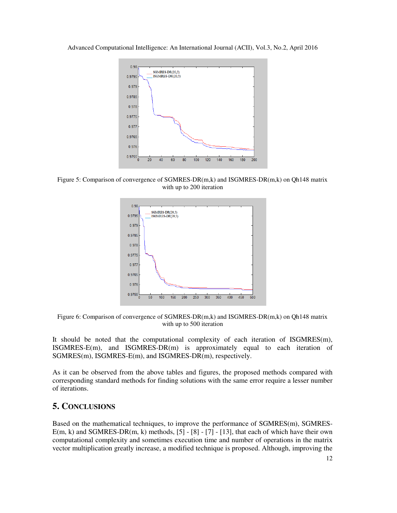

Advanced Computational Intelligence: An International Journal (ACII), Vol.3, No.2, April

Figure 5: Comparison of convergence of SGMRES-DR(m,k) and ISGMRES-DR(m,k) on Qh148 matrix with up to 200 iteration



Figure 6: Comparison of convergence of SGMRES-DR(m,k) and ISGMRES-DR(m,k) on Qh148 matrix with up to 500 iteration

It should be noted that the computational complexity of each iteration of ISGMRES(m), It should be noted that the computational complexity of each iteration of ISGMRES(m), ISGMRES-E(m), and ISGMRES-DR(m) is approximately equal to each iteration of SGMRES(m), ISGMRES-E(m), and ISGMRES-DR(m), respectively.

As it can be observed from the above tables and figures, the proposed methods compared with corresponding standard methods for finding solutions with the same error require a lesser number of iterations. an be observed from the above tables and figures, the proposed methods compared with<br>bonding standard methods for finding solutions with the same error require a lesser numbe<br>tions.<br>**NNCLUSIONS** DR(m) is approximately equal to each iteration of<br>ISGMRES-DR(m), respectively.<br>we tables and figures, the proposed methods compared with<br>finding solutions with the same error require a lesser number<br>es, to improve the perf

## **5. CONCLUSIONS**

Based on the mathematical techniques, to improve the performance of SGMRES(m), SGMRES- $E(m, k)$  and SGMRES-DR(m, k) methods, [5] - [8] - [7] - [13], that each of which have their own  $E(m, k)$  and SGMRES-DR(m, k) methods, [5] - [8] - [7] - [13], that each of which have their own computational complexity and sometimes execution time and number of operations in the matrix vector multiplication greatly increase, a modified technique is proposed. Although, improving the